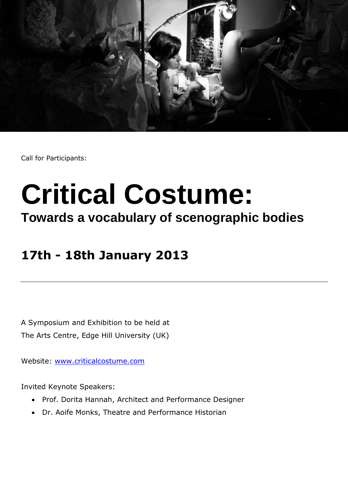

Call for Participants:

## **Critical Costume:**

## **Towards a vocabulary of scenographic bodies**

## **17th - 18th January 2013**

A Symposium and Exhibition to be held at The Arts Centre, Edge Hill University (UK)

Website: [www.criticalcostume.com](http://www.criticalcostume.com/)

Invited Keynote Speakers:

- Prof. Dorita Hannah, Architect and Performance Designer
- Dr. Aoife Monks, Theatre and Performance Historian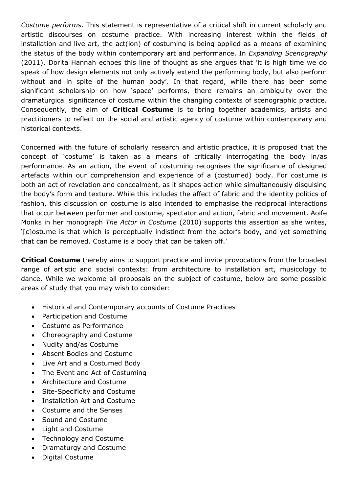*Costume performs*. This statement is representative of a critical shift in current scholarly and artistic discourses on costume practice. With increasing interest within the fields of installation and live art, the act(ion) of costuming is being applied as a means of examining the status of the body within contemporary art and performance. In *Expanding Scenography* (2011), Dorita Hannah echoes this line of thought as she argues that 'it is high time we do speak of how design elements not only actively extend the performing body, but also perform without and in spite of the human body'. In that regard, while there has been some significant scholarship on how 'space' performs, there remains an ambiguity over the dramaturgical significance of costume within the changing contexts of scenographic practice. Consequently, the aim of **Critical Costume** is to bring together academics, artists and practitioners to reflect on the social and artistic agency of costume within contemporary and historical contexts.

Concerned with the future of scholarly research and artistic practice, it is proposed that the concept of 'costume' is taken as a means of critically interrogating the body in/as performance. As an action, the event of costuming recognises the significance of designed artefacts within our comprehension and experience of a (costumed) body. For costume is both an act of revelation and concealment, as it shapes action while simultaneously disguising the body's form and texture. While this includes the affect of fabric and the identity politics of fashion, this discussion on costume is also intended to emphasise the reciprocal interactions that occur between performer and costume, spectator and action, fabric and movement. Aoife Monks in her monograph *The Actor in Costume* (2010) supports this assertion as she writes, '[c]ostume is that which is perceptually indistinct from the actor's body, and yet something that can be removed. Costume is a body that can be taken off.'

**Critical Costume** thereby aims to support practice and invite provocations from the broadest range of artistic and social contexts: from architecture to installation art, musicology to dance. While we welcome all proposals on the subject of costume, below are some possible areas of study that you may wish to consider:

- Historical and Contemporary accounts of Costume Practices
- Participation and Costume
- Costume as Performance
- Choreography and Costume
- Nudity and/as Costume
- Absent Bodies and Costume
- Live Art and a Costumed Body
- The Event and Act of Costuming
- Architecture and Costume
- Site-Specificity and Costume
- Installation Art and Costume
- Costume and the Senses
- Sound and Costume
- Light and Costume
- Technology and Costume
- Dramaturgy and Costume
- Digital Costume